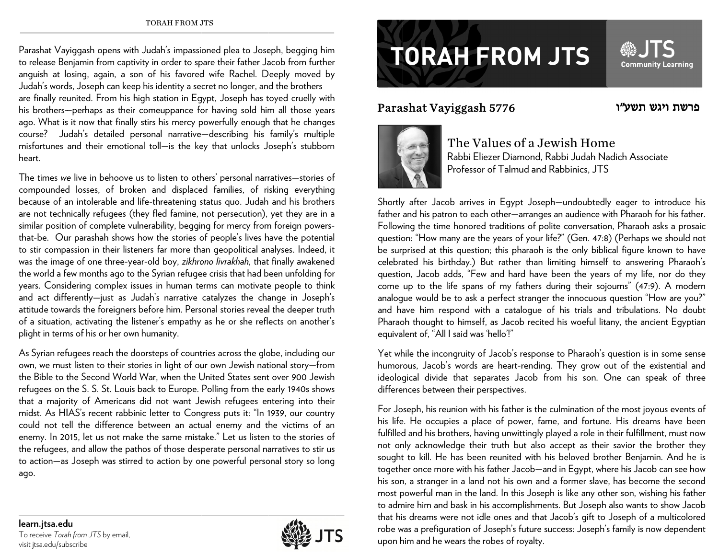Parashat Vayiggash opens with Judah's impassioned plea to Joseph, begging him to release Benjamin from captivity in order to spare their father Jacob from further anguish at losing, again, a son of his favored wife Rachel. Deeply moved by Judah's words, Joseph can keep his identity a secret no longer, and the brothers are finally reunited. From his high station in Egypt, Joseph has toyed cruelly with his brothers—perhaps as their comeuppance for having sold him all those years ago. What is it now that finally stirs his mercy powerfully enough that he changes course? Ju udah's detailed p personal narrative —describing his family's multiple misfortunes and their emotional toll—is the key that unlocks Joseph's stubborn heart.

The times *we* live in behoove us to listen to others' personal narratives—stories of compounded losses, of broken and displaced families, of risking everything because of an intolerable and life-threatening status quo. Judah and his brothers are not technically refugees (they fled famine, not persecution), yet they are in a similar position of complete vulnerability, begging for mercy from foreign powersthat-be. Our parashah shows how the stories of people's lives have the potential to stir compassion in their listeners far more than geopolitical analyses. Indeed, it was the image of one three-year-old boy, *zikhrono livrakhah,* that finally awakened the world a few months ago to the Syrian refugee crisis that had been unfolding for years. Considering complex issues in human terms can motivate people to think and act diffe erently—just as J Judah's narrative catalyzes the cha ange in Joseph's attitude towards the foreigners before him. Personal stories reveal the deeper truth of a situation, activating the listener's empathy as he or she reflects on another's plight in terms of his or her own humanity.

As Syrian refugees reach the doorsteps of countries across the globe, including our own, we must listen to their stories in light of our own Jewish national story—from the Bible to the Second World War, when the United States sent over 900 Jewish refugees on the S. S. St. Louis back to Europe. Polling from the early 1940s shows that a majority of Americans did not want Jewish refugees entering into their midst. As HIAS's recent rabbinic letter to Congress puts it: "In 1939, our country could not tell the difference between an actual enemy and the victims of an enemy. In 2015, let us not make the same mistake." Let us listen to the stories of the refugees, and allow the pathos of those desperate personal narratives to stir us to action—as Joseph was stirred to action by one powerful personal story so long ago.

## **TORAH FROM JTS**

## Para shat Vayigg a ash 5776



The Values of a Jewish Home Rabbi Eliezer Diamond, Rabbi Judah Nadich Associate Professor of Talmud and Rabbinics, JTS

Shortly after Jacob arrives in Egypt Joseph—undoubtedly eager to introduce his father and his patron to each other—arranges an audience with Pharaoh for his father. Following the time honored traditions of polite conversation, Pharaoh asks a prosaic question: "How many are the years of your life?" (Gen. 47:8) (Perhaps we should not be surprised at this question; this pharaoh is the only biblical figure known to have celebrated his birthday.) But rather than limiting himself to answering Pharaoh's question, Jacob adds, "Few and hard have been the years of my life, nor do they come up to the life spans of my fathers during their sojourns" (47:9). A modern analogue would be to ask a perfect stranger the innocuous question "How are you?" and ha ave him respond with a catalogu e of his trials an nd tribulations. N No doubt Pharaoh thought to himself, as Jacob recited his woeful litany, the ancient Egyptian equiva lent of, "All I said was 'hello'!"

Yet while the incongruity of Jacob's response to Pharaoh's question is in some sense humorous, Jacob's words are heart-rending. They grow out of the existential and ideological divide that separates Jacob from his son. One can speak of three differences between their perspectives.

For Joseph, his reunion with his father is the culmination of the most joyous events of his life. He occupies a place of power, fame, and fortune. His dreams have been fulfilled and his brothers, having unwittingly played a role in their fulfillment, must now not only acknowledge their truth but also accept as their savior the brother they sought to kill. He has been reunited with his beloved brother Benjamin. And he is together once more with his father Jacob—and in Egypt, where his Jacob can see how his son, a stranger in a land not his own and a former slave, has become the second most powerful man in the land. In this Joseph is like any other son, wishing his father to admire him and bask in his accomplishments. But Joseph also wants to show Jacob that his dreams were not idle ones and that Jacob's gift to Joseph of a multicolored robe was a prefiguration of Joseph's future success: Joseph's family is now dependent upon him and he wears the robes of royalty.

**learn.jtsa.e ddu**  To receive *Tora ah from JTS* by email, visit jtsa.edu/sub bscribe



ויגש תשע"ו פרשת

**Community Learning** 

SOL